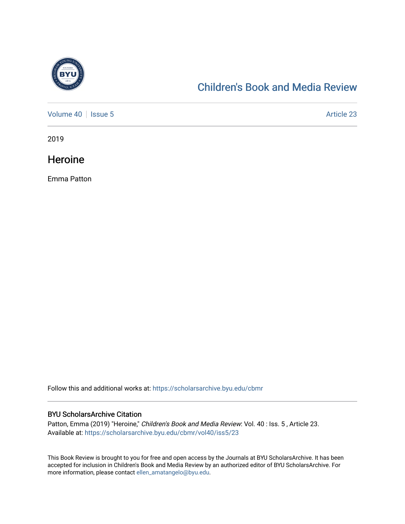

#### [Children's Book and Media Review](https://scholarsarchive.byu.edu/cbmr)

[Volume 40](https://scholarsarchive.byu.edu/cbmr/vol40) | [Issue 5](https://scholarsarchive.byu.edu/cbmr/vol40/iss5) Article 23

2019

**Heroine** 

Emma Patton

Follow this and additional works at: [https://scholarsarchive.byu.edu/cbmr](https://scholarsarchive.byu.edu/cbmr?utm_source=scholarsarchive.byu.edu%2Fcbmr%2Fvol40%2Fiss5%2F23&utm_medium=PDF&utm_campaign=PDFCoverPages) 

#### BYU ScholarsArchive Citation

Patton, Emma (2019) "Heroine," Children's Book and Media Review: Vol. 40 : Iss. 5 , Article 23. Available at: [https://scholarsarchive.byu.edu/cbmr/vol40/iss5/23](https://scholarsarchive.byu.edu/cbmr/vol40/iss5/23?utm_source=scholarsarchive.byu.edu%2Fcbmr%2Fvol40%2Fiss5%2F23&utm_medium=PDF&utm_campaign=PDFCoverPages)

This Book Review is brought to you for free and open access by the Journals at BYU ScholarsArchive. It has been accepted for inclusion in Children's Book and Media Review by an authorized editor of BYU ScholarsArchive. For more information, please contact [ellen\\_amatangelo@byu.edu.](mailto:ellen_amatangelo@byu.edu)